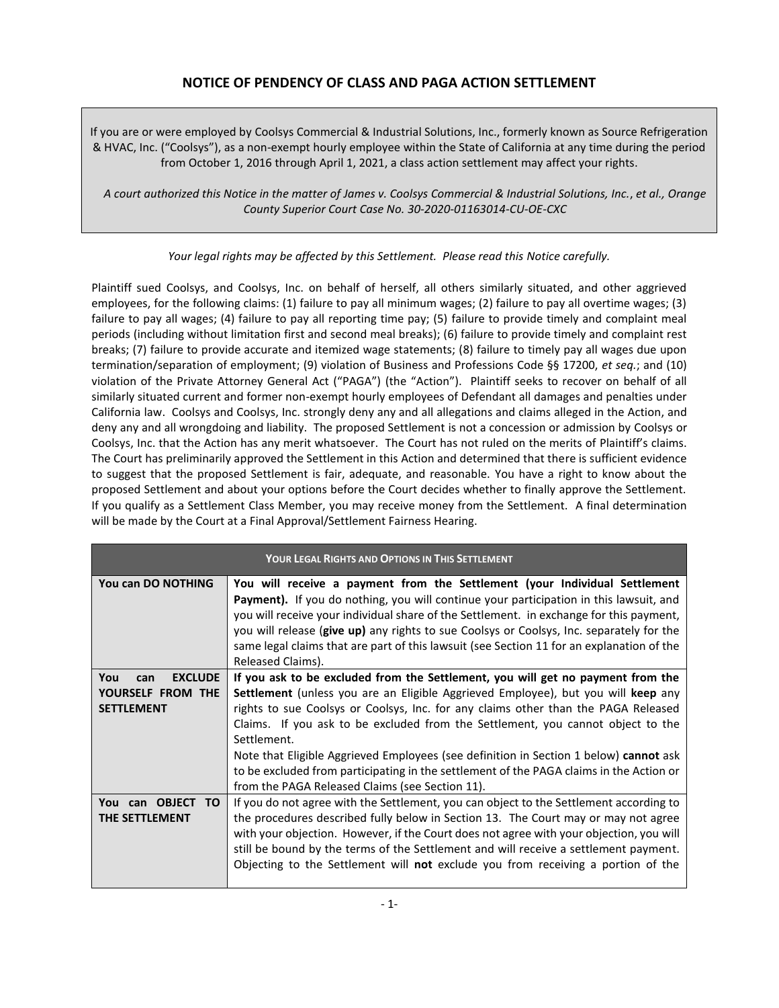# **NOTICE OF PENDENCY OF CLASS AND PAGA ACTION SETTLEMENT**

If you are or were employed by Coolsys Commercial & Industrial Solutions, Inc., formerly known as Source Refrigeration & HVAC, Inc. ("Coolsys"), as a non-exempt hourly employee within the State of California at any time during the period from October 1, 2016 through April 1, 2021, a class action settlement may affect your rights.

*A court authorized this Notice in the matter of James v. Coolsys Commercial & Industrial Solutions, Inc.*, *et al., Orange County Superior Court Case No. 30-2020-01163014-CU-OE-CXC*

*Your legal rights may be affected by this Settlement. Please read this Notice carefully.*

Plaintiff sued Coolsys, and Coolsys, Inc. on behalf of herself, all others similarly situated, and other aggrieved employees, for the following claims: (1) failure to pay all minimum wages; (2) failure to pay all overtime wages; (3) failure to pay all wages; (4) failure to pay all reporting time pay; (5) failure to provide timely and complaint meal periods (including without limitation first and second meal breaks); (6) failure to provide timely and complaint rest breaks; (7) failure to provide accurate and itemized wage statements; (8) failure to timely pay all wages due upon termination/separation of employment; (9) violation of Business and Professions Code §§ 17200, *et seq.*; and (10) violation of the Private Attorney General Act ("PAGA") (the "Action"). Plaintiff seeks to recover on behalf of all similarly situated current and former non-exempt hourly employees of Defendant all damages and penalties under California law. Coolsys and Coolsys, Inc. strongly deny any and all allegations and claims alleged in the Action, and deny any and all wrongdoing and liability. The proposed Settlement is not a concession or admission by Coolsys or Coolsys, Inc. that the Action has any merit whatsoever. The Court has not ruled on the merits of Plaintiff's claims. The Court has preliminarily approved the Settlement in this Action and determined that there is sufficient evidence to suggest that the proposed Settlement is fair, adequate, and reasonable. You have a right to know about the proposed Settlement and about your options before the Court decides whether to finally approve the Settlement. If you qualify as a Settlement Class Member, you may receive money from the Settlement. A final determination will be made by the Court at a Final Approval/Settlement Fairness Hearing.

| <b>YOUR LEGAL RIGHTS AND OPTIONS IN THIS SETTLEMENT</b>                |                                                                                                                                                                                                                                                                                                                                                                                                                                                                                                                                                                                                     |
|------------------------------------------------------------------------|-----------------------------------------------------------------------------------------------------------------------------------------------------------------------------------------------------------------------------------------------------------------------------------------------------------------------------------------------------------------------------------------------------------------------------------------------------------------------------------------------------------------------------------------------------------------------------------------------------|
| You can DO NOTHING                                                     | You will receive a payment from the Settlement (your Individual Settlement<br><b>Payment).</b> If you do nothing, you will continue your participation in this lawsuit, and<br>you will receive your individual share of the Settlement. in exchange for this payment,<br>you will release (give up) any rights to sue Coolsys or Coolsys, Inc. separately for the<br>same legal claims that are part of this lawsuit (see Section 11 for an explanation of the<br>Released Claims).                                                                                                                |
| <b>EXCLUDE</b><br>You<br>can<br>YOURSELF FROM THE<br><b>SETTLEMENT</b> | If you ask to be excluded from the Settlement, you will get no payment from the<br>Settlement (unless you are an Eligible Aggrieved Employee), but you will keep any<br>rights to sue Coolsys or Coolsys, Inc. for any claims other than the PAGA Released<br>Claims. If you ask to be excluded from the Settlement, you cannot object to the<br>Settlement.<br>Note that Eligible Aggrieved Employees (see definition in Section 1 below) cannot ask<br>to be excluded from participating in the settlement of the PAGA claims in the Action or<br>from the PAGA Released Claims (see Section 11). |
| You can OBJECT<br>TO.<br>THE SETTLEMENT                                | If you do not agree with the Settlement, you can object to the Settlement according to<br>the procedures described fully below in Section 13. The Court may or may not agree<br>with your objection. However, if the Court does not agree with your objection, you will<br>still be bound by the terms of the Settlement and will receive a settlement payment.<br>Objecting to the Settlement will not exclude you from receiving a portion of the                                                                                                                                                 |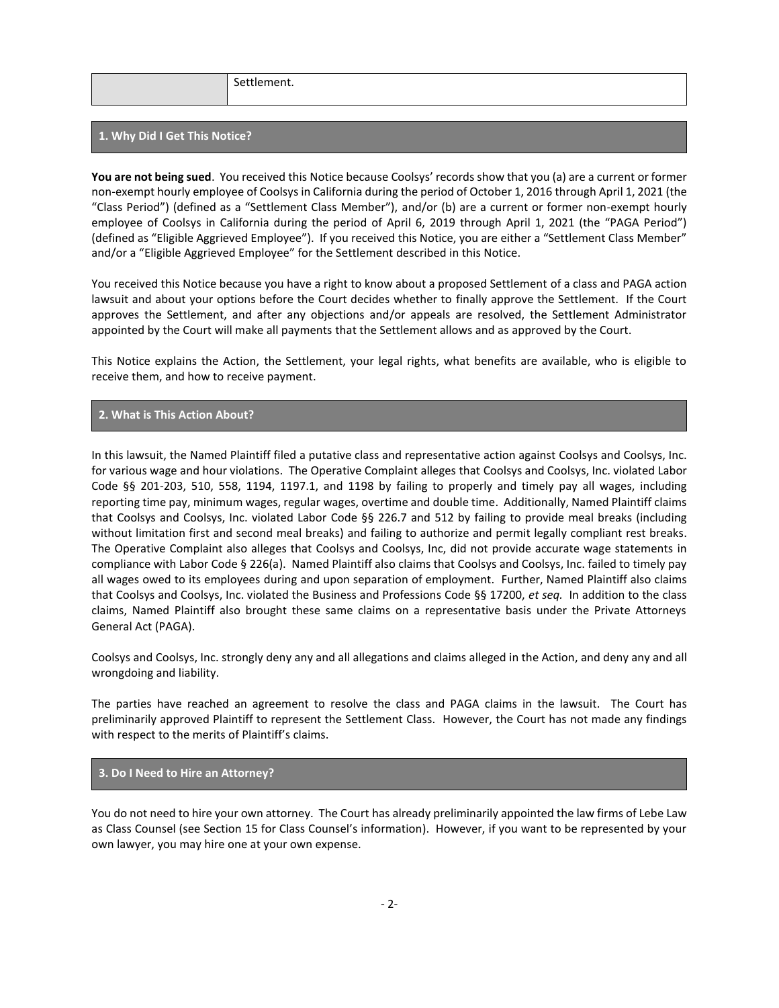Settlement.

### **1. Why Did I Get This Notice?**

**You are not being sued**. You received this Notice because Coolsys' records show that you (a) are a current or former non-exempt hourly employee of Coolsys in California during the period of October 1, 2016 through April 1, 2021 (the "Class Period") (defined as a "Settlement Class Member"), and/or (b) are a current or former non-exempt hourly employee of Coolsys in California during the period of April 6, 2019 through April 1, 2021 (the "PAGA Period") (defined as "Eligible Aggrieved Employee"). If you received this Notice, you are either a "Settlement Class Member" and/or a "Eligible Aggrieved Employee" for the Settlement described in this Notice.

You received this Notice because you have a right to know about a proposed Settlement of a class and PAGA action lawsuit and about your options before the Court decides whether to finally approve the Settlement. If the Court approves the Settlement, and after any objections and/or appeals are resolved, the Settlement Administrator appointed by the Court will make all payments that the Settlement allows and as approved by the Court.

This Notice explains the Action, the Settlement, your legal rights, what benefits are available, who is eligible to receive them, and how to receive payment.

## **2. What is This Action About?**

In this lawsuit, the Named Plaintiff filed a putative class and representative action against Coolsys and Coolsys, Inc. for various wage and hour violations. The Operative Complaint alleges that Coolsys and Coolsys, Inc. violated Labor Code §§ 201-203, 510, 558, 1194, 1197.1, and 1198 by failing to properly and timely pay all wages, including reporting time pay, minimum wages, regular wages, overtime and double time. Additionally, Named Plaintiff claims that Coolsys and Coolsys, Inc. violated Labor Code §§ 226.7 and 512 by failing to provide meal breaks (including without limitation first and second meal breaks) and failing to authorize and permit legally compliant rest breaks. The Operative Complaint also alleges that Coolsys and Coolsys, Inc, did not provide accurate wage statements in compliance with Labor Code § 226(a). Named Plaintiff also claims that Coolsys and Coolsys, Inc. failed to timely pay all wages owed to its employees during and upon separation of employment. Further, Named Plaintiff also claims that Coolsys and Coolsys, Inc. violated the Business and Professions Code §§ 17200, *et seq.* In addition to the class claims, Named Plaintiff also brought these same claims on a representative basis under the Private Attorneys General Act (PAGA).

Coolsys and Coolsys, Inc. strongly deny any and all allegations and claims alleged in the Action, and deny any and all wrongdoing and liability.

The parties have reached an agreement to resolve the class and PAGA claims in the lawsuit. The Court has preliminarily approved Plaintiff to represent the Settlement Class. However, the Court has not made any findings with respect to the merits of Plaintiff's claims.

## **3. Do I Need to Hire an Attorney?**

You do not need to hire your own attorney. The Court has already preliminarily appointed the law firms of Lebe Law as Class Counsel (see Section 15 for Class Counsel's information). However, if you want to be represented by your own lawyer, you may hire one at your own expense.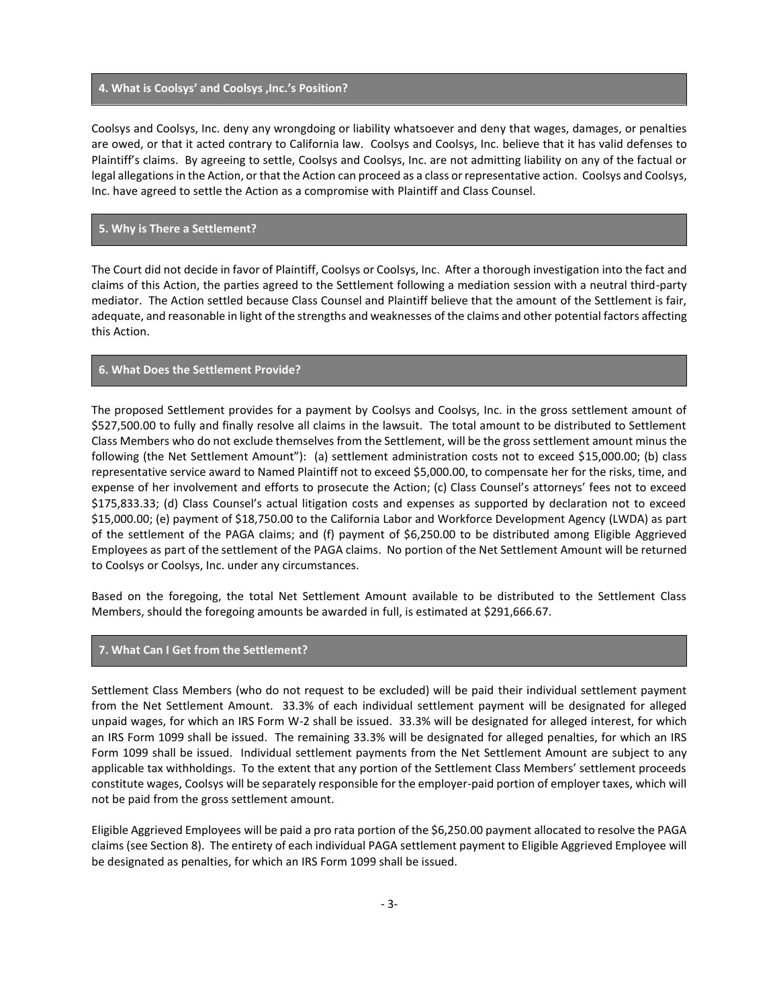#### **4. What is Coolsys' and Coolsys ,Inc.'s Position?**

Coolsys and Coolsys, Inc. deny any wrongdoing or liability whatsoever and deny that wages, damages, or penalties are owed, or that it acted contrary to California law. Coolsys and Coolsys, Inc. believe that it has valid defenses to Plaintiff's claims. By agreeing to settle, Coolsys and Coolsys, Inc. are not admitting liability on any of the factual or legal allegations in the Action, or that the Action can proceed as a class or representative action. Coolsys and Coolsys, Inc. have agreed to settle the Action as a compromise with Plaintiff and Class Counsel.

### **5. Why is There a Settlement?**

The Court did not decide in favor of Plaintiff, Coolsys or Coolsys, Inc. After a thorough investigation into the fact and claims of this Action, the parties agreed to the Settlement following a mediation session with a neutral third-party mediator. The Action settled because Class Counsel and Plaintiff believe that the amount of the Settlement is fair, adequate, and reasonable in light of the strengths and weaknesses of the claims and other potential factors affecting this Action.

### **6. What Does the Settlement Provide?**

The proposed Settlement provides for a payment by Coolsys and Coolsys, Inc. in the gross settlement amount of \$527,500.00 to fully and finally resolve all claims in the lawsuit. The total amount to be distributed to Settlement Class Members who do not exclude themselves from the Settlement, will be the gross settlement amount minus the following (the Net Settlement Amount"): (a) settlement administration costs not to exceed \$15,000.00; (b) class representative service award to Named Plaintiff not to exceed \$5,000.00, to compensate her for the risks, time, and expense of her involvement and efforts to prosecute the Action; (c) Class Counsel's attorneys' fees not to exceed \$175,833.33; (d) Class Counsel's actual litigation costs and expenses as supported by declaration not to exceed \$15,000.00; (e) payment of \$18,750.00 to the California Labor and Workforce Development Agency (LWDA) as part of the settlement of the PAGA claims; and (f) payment of \$6,250.00 to be distributed among Eligible Aggrieved Employees as part of the settlement of the PAGA claims. No portion of the Net Settlement Amount will be returned to Coolsys or Coolsys, Inc. under any circumstances.

Based on the foregoing, the total Net Settlement Amount available to be distributed to the Settlement Class Members, should the foregoing amounts be awarded in full, is estimated at \$291,666.67.

## **7. What Can I Get from the Settlement?**

Settlement Class Members (who do not request to be excluded) will be paid their individual settlement payment from the Net Settlement Amount. 33.3% of each individual settlement payment will be designated for alleged unpaid wages, for which an IRS Form W-2 shall be issued. 33.3% will be designated for alleged interest, for which an IRS Form 1099 shall be issued. The remaining 33.3% will be designated for alleged penalties, for which an IRS Form 1099 shall be issued. Individual settlement payments from the Net Settlement Amount are subject to any applicable tax withholdings. To the extent that any portion of the Settlement Class Members' settlement proceeds constitute wages, Coolsys will be separately responsible for the employer-paid portion of employer taxes, which will not be paid from the gross settlement amount.

Eligible Aggrieved Employees will be paid a pro rata portion of the \$6,250.00 payment allocated to resolve the PAGA claims (see Section 8). The entirety of each individual PAGA settlement payment to Eligible Aggrieved Employee will be designated as penalties, for which an IRS Form 1099 shall be issued.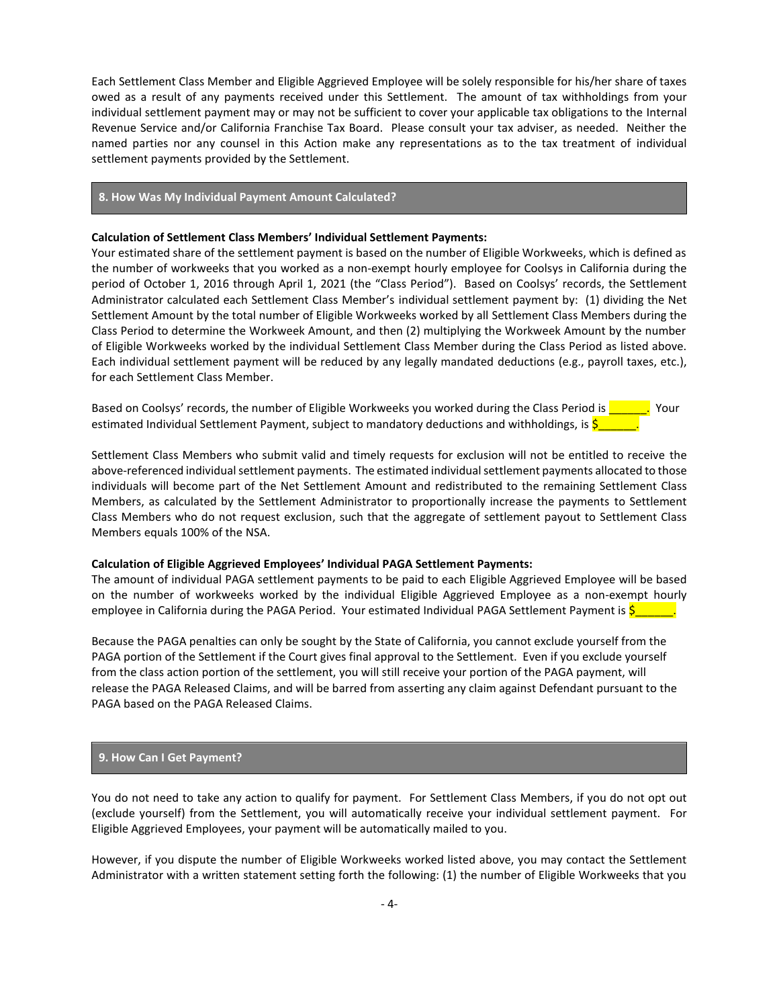Each Settlement Class Member and Eligible Aggrieved Employee will be solely responsible for his/her share of taxes owed as a result of any payments received under this Settlement. The amount of tax withholdings from your individual settlement payment may or may not be sufficient to cover your applicable tax obligations to the Internal Revenue Service and/or California Franchise Tax Board. Please consult your tax adviser, as needed. Neither the named parties nor any counsel in this Action make any representations as to the tax treatment of individual settlement payments provided by the Settlement.

### **8. How Was My Individual Payment Amount Calculated?**

#### **Calculation of Settlement Class Members' Individual Settlement Payments:**

Your estimated share of the settlement payment is based on the number of Eligible Workweeks, which is defined as the number of workweeks that you worked as a non-exempt hourly employee for Coolsys in California during the period of October 1, 2016 through April 1, 2021 (the "Class Period"). Based on Coolsys' records, the Settlement Administrator calculated each Settlement Class Member's individual settlement payment by: (1) dividing the Net Settlement Amount by the total number of Eligible Workweeks worked by all Settlement Class Members during the Class Period to determine the Workweek Amount, and then (2) multiplying the Workweek Amount by the number of Eligible Workweeks worked by the individual Settlement Class Member during the Class Period as listed above. Each individual settlement payment will be reduced by any legally mandated deductions (e.g., payroll taxes, etc.), for each Settlement Class Member.

Based on Coolsys' records, the number of Eligible Workweeks you worked during the Class Period is **Fig. 1.** Your estimated Individual Settlement Payment, subject to mandatory deductions and withholdings, is  $\frac{5}{2}$ 

Settlement Class Members who submit valid and timely requests for exclusion will not be entitled to receive the above-referenced individual settlement payments. The estimated individual settlement payments allocated to those individuals will become part of the Net Settlement Amount and redistributed to the remaining Settlement Class Members, as calculated by the Settlement Administrator to proportionally increase the payments to Settlement Class Members who do not request exclusion, such that the aggregate of settlement payout to Settlement Class Members equals 100% of the NSA.

#### **Calculation of Eligible Aggrieved Employees' Individual PAGA Settlement Payments:**

The amount of individual PAGA settlement payments to be paid to each Eligible Aggrieved Employee will be based on the number of workweeks worked by the individual Eligible Aggrieved Employee as a non-exempt hourly employee in California during the PAGA Period. Your estimated Individual PAGA Settlement Payment is  $\zeta$ 

Because the PAGA penalties can only be sought by the State of California, you cannot exclude yourself from the PAGA portion of the Settlement if the Court gives final approval to the Settlement. Even if you exclude yourself from the class action portion of the settlement, you will still receive your portion of the PAGA payment, will release the PAGA Released Claims, and will be barred from asserting any claim against Defendant pursuant to the PAGA based on the PAGA Released Claims.

## **9. How Can I Get Payment?**

You do not need to take any action to qualify for payment. For Settlement Class Members, if you do not opt out (exclude yourself) from the Settlement, you will automatically receive your individual settlement payment. For Eligible Aggrieved Employees, your payment will be automatically mailed to you.

However, if you dispute the number of Eligible Workweeks worked listed above, you may contact the Settlement Administrator with a written statement setting forth the following: (1) the number of Eligible Workweeks that you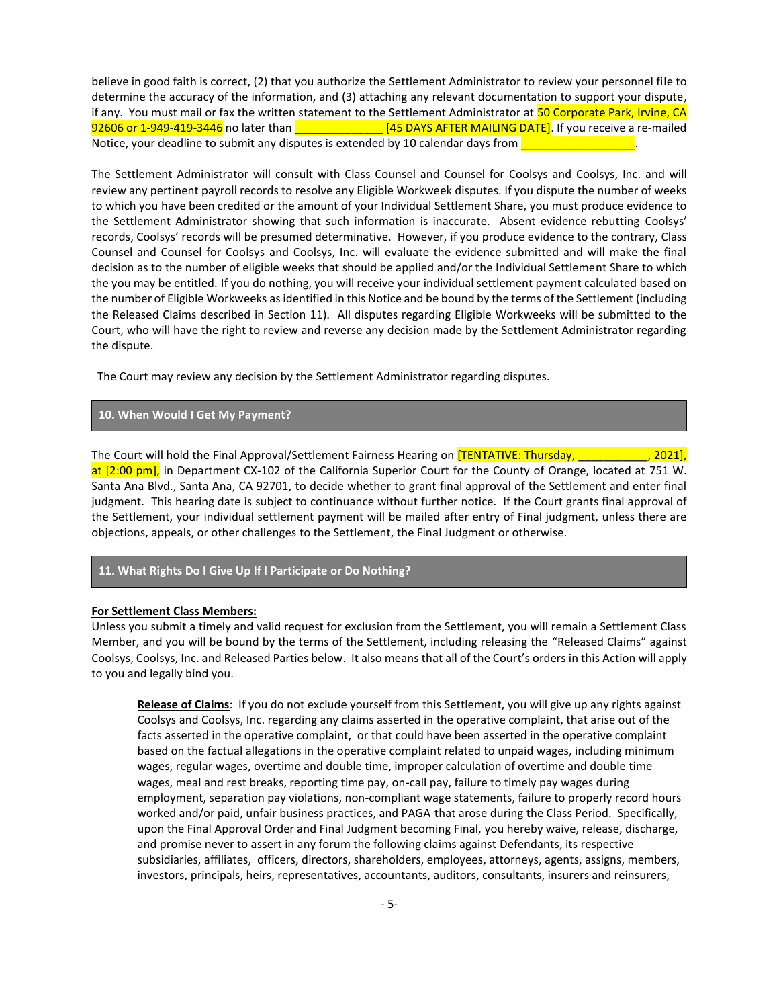believe in good faith is correct, (2) that you authorize the Settlement Administrator to review your personnel file to determine the accuracy of the information, and (3) attaching any relevant documentation to support your dispute, if any. You must mail or fax the written statement to the Settlement Administrator at 50 Corporate Park, Irvine, CA 92606 or 1-949-419-3446 no later than **Exercise 20 and SI 245 DAYS AFTER MAILING DATE**]. If you receive a re-mailed Notice, your deadline to submit any disputes is extended by 10 calendar days from  $\Box$ 

The Settlement Administrator will consult with Class Counsel and Counsel for Coolsys and Coolsys, Inc. and will review any pertinent payroll records to resolve any Eligible Workweek disputes. If you dispute the number of weeks to which you have been credited or the amount of your Individual Settlement Share, you must produce evidence to the Settlement Administrator showing that such information is inaccurate. Absent evidence rebutting Coolsys' records, Coolsys' records will be presumed determinative. However, if you produce evidence to the contrary, Class Counsel and Counsel for Coolsys and Coolsys, Inc. will evaluate the evidence submitted and will make the final decision as to the number of eligible weeks that should be applied and/or the Individual Settlement Share to which the you may be entitled. If you do nothing, you will receive your individual settlement payment calculated based on the number of Eligible Workweeks as identified in this Notice and be bound by the terms of the Settlement (including the Released Claims described in Section 11). All disputes regarding Eligible Workweeks will be submitted to the Court, who will have the right to review and reverse any decision made by the Settlement Administrator regarding the dispute.

The Court may review any decision by the Settlement Administrator regarding disputes.

## **10. When Would I Get My Payment?**

The Court will hold the Final Approval/Settlement Fairness Hearing on [TENTATIVE: Thursday, \_\_\_\_\_\_\_\_\_\_\_, 2021], at [2:00 pm], in Department CX-102 of the California Superior Court for the County of Orange, located at 751 W. Santa Ana Blvd., Santa Ana, CA 92701, to decide whether to grant final approval of the Settlement and enter final judgment. This hearing date is subject to continuance without further notice. If the Court grants final approval of the Settlement, your individual settlement payment will be mailed after entry of Final judgment, unless there are objections, appeals, or other challenges to the Settlement, the Final Judgment or otherwise.

# **11. What Rights Do I Give Up If I Participate or Do Nothing?**

#### **For Settlement Class Members:**

Unless you submit a timely and valid request for exclusion from the Settlement, you will remain a Settlement Class Member, and you will be bound by the terms of the Settlement, including releasing the "Released Claims" against Coolsys, Coolsys, Inc. and Released Parties below. It also means that all of the Court's orders in this Action will apply to you and legally bind you.

**Release of Claims**: If you do not exclude yourself from this Settlement, you will give up any rights against Coolsys and Coolsys, Inc. regarding any claims asserted in the operative complaint, that arise out of the facts asserted in the operative complaint, or that could have been asserted in the operative complaint based on the factual allegations in the operative complaint related to unpaid wages, including minimum wages, regular wages, overtime and double time, improper calculation of overtime and double time wages, meal and rest breaks, reporting time pay, on-call pay, failure to timely pay wages during employment, separation pay violations, non-compliant wage statements, failure to properly record hours worked and/or paid, unfair business practices, and PAGA that arose during the Class Period. Specifically, upon the Final Approval Order and Final Judgment becoming Final, you hereby waive, release, discharge, and promise never to assert in any forum the following claims against Defendants, its respective subsidiaries, affiliates, officers, directors, shareholders, employees, attorneys, agents, assigns, members, investors, principals, heirs, representatives, accountants, auditors, consultants, insurers and reinsurers,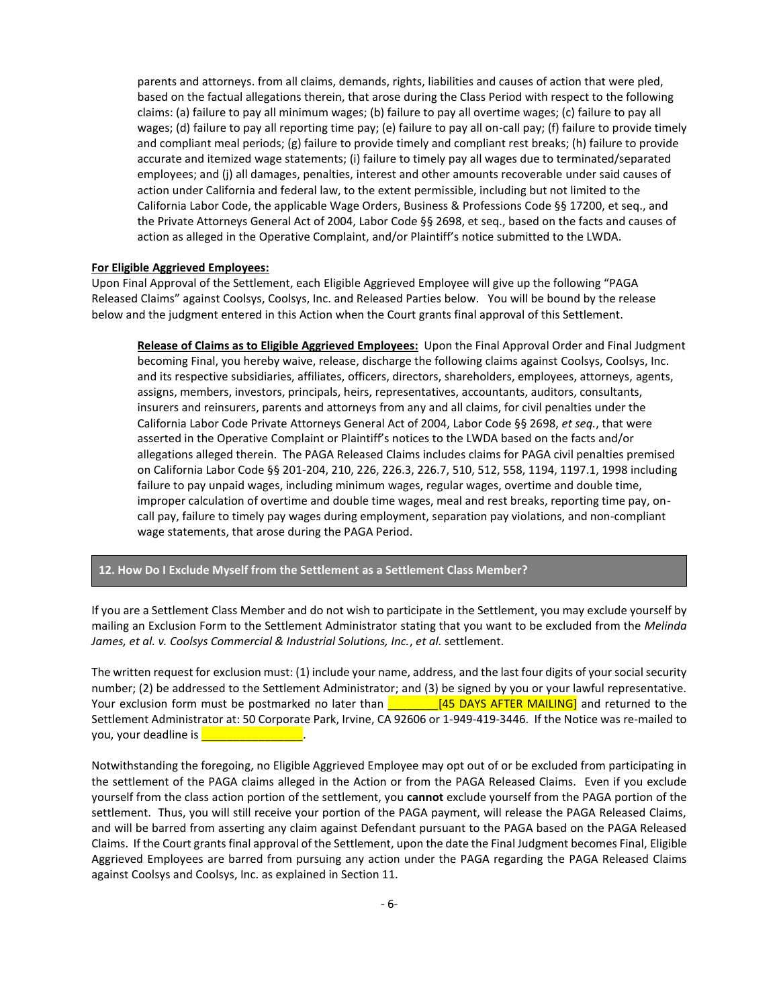parents and attorneys. from all claims, demands, rights, liabilities and causes of action that were pled, based on the factual allegations therein, that arose during the Class Period with respect to the following claims: (a) failure to pay all minimum wages; (b) failure to pay all overtime wages; (c) failure to pay all wages; (d) failure to pay all reporting time pay; (e) failure to pay all on-call pay; (f) failure to provide timely and compliant meal periods; (g) failure to provide timely and compliant rest breaks; (h) failure to provide accurate and itemized wage statements; (i) failure to timely pay all wages due to terminated/separated employees; and (j) all damages, penalties, interest and other amounts recoverable under said causes of action under California and federal law, to the extent permissible, including but not limited to the California Labor Code, the applicable Wage Orders, Business & Professions Code §§ 17200, et seq., and the Private Attorneys General Act of 2004, Labor Code §§ 2698, et seq., based on the facts and causes of action as alleged in the Operative Complaint, and/or Plaintiff's notice submitted to the LWDA.

#### **For Eligible Aggrieved Employees:**

Upon Final Approval of the Settlement, each Eligible Aggrieved Employee will give up the following "PAGA Released Claims" against Coolsys, Coolsys, Inc. and Released Parties below. You will be bound by the release below and the judgment entered in this Action when the Court grants final approval of this Settlement.

**Release of Claims as to Eligible Aggrieved Employees:** Upon the Final Approval Order and Final Judgment becoming Final, you hereby waive, release, discharge the following claims against Coolsys, Coolsys, Inc. and its respective subsidiaries, affiliates, officers, directors, shareholders, employees, attorneys, agents, assigns, members, investors, principals, heirs, representatives, accountants, auditors, consultants, insurers and reinsurers, parents and attorneys from any and all claims, for civil penalties under the California Labor Code Private Attorneys General Act of 2004, Labor Code §§ 2698, *et seq.*, that were asserted in the Operative Complaint or Plaintiff's notices to the LWDA based on the facts and/or allegations alleged therein. The PAGA Released Claims includes claims for PAGA civil penalties premised on California Labor Code §§ 201-204, 210, 226, 226.3, 226.7, 510, 512, 558, 1194, 1197.1, 1998 including failure to pay unpaid wages, including minimum wages, regular wages, overtime and double time, improper calculation of overtime and double time wages, meal and rest breaks, reporting time pay, oncall pay, failure to timely pay wages during employment, separation pay violations, and non-compliant wage statements, that arose during the PAGA Period.

## **12. How Do I Exclude Myself from the Settlement as a Settlement Class Member?**

If you are a Settlement Class Member and do not wish to participate in the Settlement, you may exclude yourself by mailing an Exclusion Form to the Settlement Administrator stating that you want to be excluded from the *Melinda James, et al. v. Coolsys Commercial & Industrial Solutions, Inc.*, *et al.* settlement.

The written request for exclusion must: (1) include your name, address, and the last four digits of your social security number; (2) be addressed to the Settlement Administrator; and (3) be signed by you or your lawful representative. Your exclusion form must be postmarked no later than  $\frac{1}{\sqrt{1-\frac{1}{1-\frac{1}{1-\frac{1}{1-\frac{1}{1-\frac{1}{1-\frac{1}{1-\frac{1}{1-\frac{1}{1-\frac{1}{1-\frac{1}{1-\frac{1}{1-\frac{1}{1-\frac{1}{1-\frac{1}{1-\frac{1}{1-\frac{1}{1-\frac{1}{1-\frac{1}{1-\frac{1}{1-\frac{1}{1-\frac{1}{1-\frac{1}{1-\frac{1}{1-\frac{1}{1-\frac{1}{1-\frac{1}{1-\frac{$ Settlement Administrator at: 50 Corporate Park, Irvine, CA 92606 or 1-949-419-3446. If the Notice was re-mailed to you, your deadline is **William** 

Notwithstanding the foregoing, no Eligible Aggrieved Employee may opt out of or be excluded from participating in the settlement of the PAGA claims alleged in the Action or from the PAGA Released Claims. Even if you exclude yourself from the class action portion of the settlement, you **cannot** exclude yourself from the PAGA portion of the settlement. Thus, you will still receive your portion of the PAGA payment, will release the PAGA Released Claims, and will be barred from asserting any claim against Defendant pursuant to the PAGA based on the PAGA Released Claims. If the Court grants final approval of the Settlement, upon the date the Final Judgment becomes Final, Eligible Aggrieved Employees are barred from pursuing any action under the PAGA regarding the PAGA Released Claims against Coolsys and Coolsys, Inc. as explained in Section 11.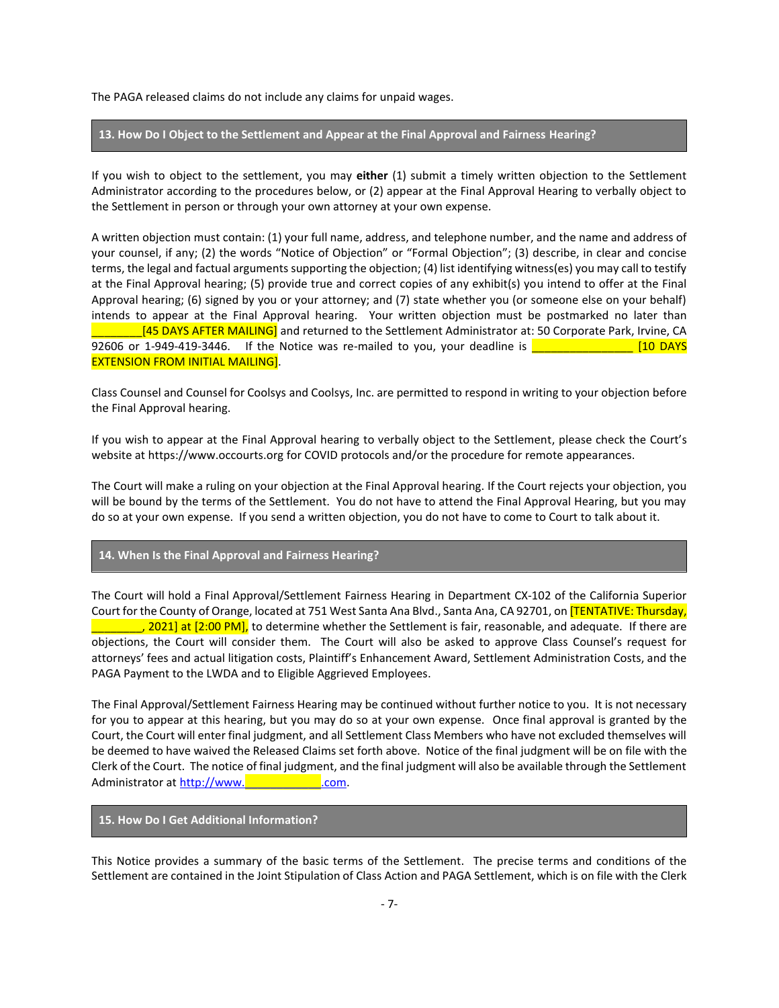The PAGA released claims do not include any claims for unpaid wages.

### **13. How Do I Object to the Settlement and Appear at the Final Approval and Fairness Hearing?**

If you wish to object to the settlement, you may **either** (1) submit a timely written objection to the Settlement Administrator according to the procedures below, or (2) appear at the Final Approval Hearing to verbally object to the Settlement in person or through your own attorney at your own expense.

A written objection must contain: (1) your full name, address, and telephone number, and the name and address of your counsel, if any; (2) the words "Notice of Objection" or "Formal Objection"; (3) describe, in clear and concise terms, the legal and factual arguments supporting the objection; (4) list identifying witness(es) you may call to testify at the Final Approval hearing; (5) provide true and correct copies of any exhibit(s) you intend to offer at the Final Approval hearing; (6) signed by you or your attorney; and (7) state whether you (or someone else on your behalf) intends to appear at the Final Approval hearing. Your written objection must be postmarked no later than [45 DAYS AFTER MAILING] and returned to the Settlement Administrator at: 50 Corporate Park, Irvine, CA 92606 or 1-949-419-3446. If the Notice was re-mailed to you, your deadline is  $\frac{2}{\sqrt{2}}$ EXTENSION FROM INITIAL MAILING].

Class Counsel and Counsel for Coolsys and Coolsys, Inc. are permitted to respond in writing to your objection before the Final Approval hearing.

If you wish to appear at the Final Approval hearing to verbally object to the Settlement, please check the Court's website at https://www.occourts.org for COVID protocols and/or the procedure for remote appearances.

The Court will make a ruling on your objection at the Final Approval hearing. If the Court rejects your objection, you will be bound by the terms of the Settlement. You do not have to attend the Final Approval Hearing, but you may do so at your own expense. If you send a written objection, you do not have to come to Court to talk about it.

## **14. When Is the Final Approval and Fairness Hearing?**

The Court will hold a Final Approval/Settlement Fairness Hearing in Department CX-102 of the California Superior Court for the County of Orange, located at 751 West Santa Ana Blvd., Santa Ana, CA 92701, on **[TENTATIVE: Thursday,** . 2021] at [2:00 PM], to determine whether the Settlement is fair, reasonable, and adequate. If there are objections, the Court will consider them. The Court will also be asked to approve Class Counsel's request for attorneys' fees and actual litigation costs, Plaintiff's Enhancement Award, Settlement Administration Costs, and the PAGA Payment to the LWDA and to Eligible Aggrieved Employees.

The Final Approval/Settlement Fairness Hearing may be continued without further notice to you. It is not necessary for you to appear at this hearing, but you may do so at your own expense. Once final approval is granted by the Court, the Court will enter final judgment, and all Settlement Class Members who have not excluded themselves will be deemed to have waived the Released Claims set forth above. Notice of the final judgment will be on file with the Clerk of the Court. The notice of final judgment, and the final judgment will also be available through the Settlement Administrator at http://www.

## **15. How Do I Get Additional Information?**

This Notice provides a summary of the basic terms of the Settlement. The precise terms and conditions of the Settlement are contained in the Joint Stipulation of Class Action and PAGA Settlement, which is on file with the Clerk